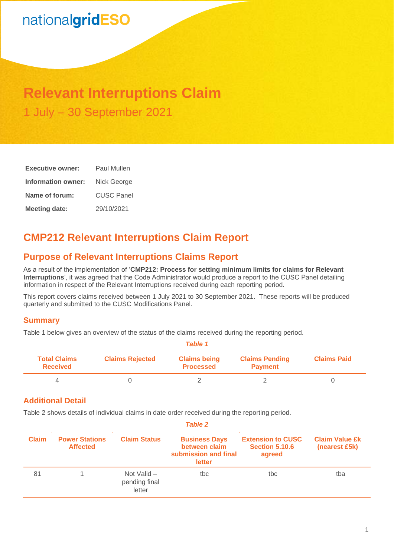# nationalgridESO

## **Relevant Interruptions Claim** 1 July – 30 September 2021

| <b>Executive owner:</b> | Paul Mullen       |  |  |
|-------------------------|-------------------|--|--|
| Information owner:      | Nick George       |  |  |
| Name of forum:          | <b>CUSC Panel</b> |  |  |
| <b>Meeting date:</b>    | 29/10/2021        |  |  |

## **CMP212 Relevant Interruptions Claim Report**

### **Purpose of Relevant Interruptions Claims Report**

As a result of the implementation of '**CMP212: Process for setting minimum limits for claims for Relevant Interruptions**', it was agreed that the Code Administrator would produce a report to the CUSC Panel detailing information in respect of the Relevant Interruptions received during each reporting period.

This report covers claims received between 1 July 2021 to 30 September 2021. These reports will be produced quarterly and submitted to the CUSC Modifications Panel.

#### **Summary**

Table 1 below gives an overview of the status of the claims received during the reporting period.

| Table 1                                |                        |                                         |                                         |                    |  |
|----------------------------------------|------------------------|-----------------------------------------|-----------------------------------------|--------------------|--|
| <b>Total Claims</b><br><b>Received</b> | <b>Claims Rejected</b> | <b>Claims being</b><br><b>Processed</b> | <b>Claims Pending</b><br><b>Payment</b> | <b>Claims Paid</b> |  |
|                                        |                        |                                         |                                         |                    |  |

#### **Additional Detail**

Table 2 shows details of individual claims in date order received during the reporting period.

| <b>Table 2</b> |                                          |                                        |                                                                         |                                                             |                                        |
|----------------|------------------------------------------|----------------------------------------|-------------------------------------------------------------------------|-------------------------------------------------------------|----------------------------------------|
| <b>Claim</b>   | <b>Power Stations</b><br><b>Affected</b> | <b>Claim Status</b>                    | <b>Business Days</b><br>between claim<br>submission and final<br>letter | <b>Extension to CUSC</b><br><b>Section 5.10.6</b><br>agreed | <b>Claim Value £k</b><br>(nearest £5k) |
| 81             |                                          | Not Valid -<br>pending final<br>letter | tbc                                                                     | tbc                                                         | tba                                    |